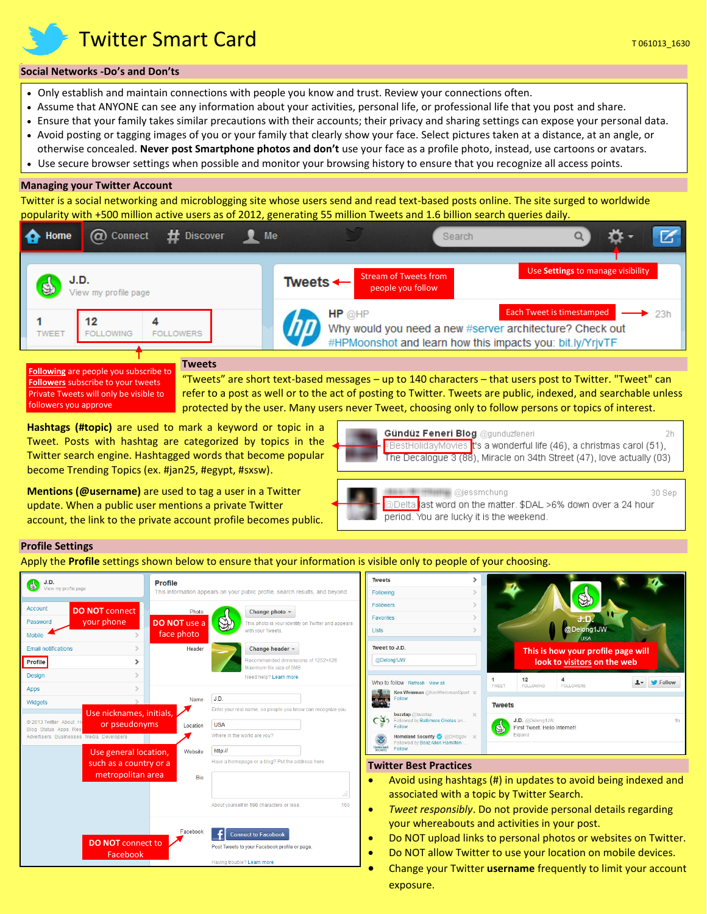**Twitter Smart Card**  $\overline{a}$  **163013** 1630  $\overline{a}$  163013 1630

## **Social Networks -Do's and Don'ts**

- Only establish and maintain connections with people you know and trust. Review your connections often.
- Assume that ANYONE can see any information about your activities, personal life, or professional life that you post and share.
- Ensure that your family takes similar precautions with their accounts; their privacy and sharing settings can expose your personal data.
- Avoid posting or tagging images of you or your family that clearly show your face. Select pictures taken at a distance, at an angle, or otherwise concealed. **Never post Smartphone photos and don't** use your face as a profile photo, instead, use cartoons or avatars.
- Use secure browser settings when possible and monitor your browsing history to ensure that you recognize all access points.

## **Managing your Twitter Account**

Twitter is a social networking and microblogging site whose users send and read text-based posts online. The site surged to worldwide popularity with +500 million active users as of 2012, generating 55 million Tweets and 1.6 billion search queries daily.



**Followers** subscribe to your tweets

Private Tweets will only be visible to

followers you approve

"Tweets" are short text-based messages – up to 140 characters – that users post to Twitter. "Tweet" can refer to a post as well or to the act of posting to Twitter. Tweets are public, indexed, and searchable unless protected by the user. Many users never Tweet, choosing only to follow persons or topics of interest.

**Hashtags (#topic)** are used to mark a keyword or topic in a Tweet. Posts with hashtag are categorized by topics in the Twitter search engine. Hashtagged words that become popular become Trending Topics (ex. #jan25, #egypt, #sxsw).

**Mentions (@username)** are used to tag a user in a Twitter update. When a public user mentions a private Twitter account, the link to the private account profile becomes public.

| Gündüz Feneri Blog @gunduzfeneri |                                                                                                       |  |
|----------------------------------|-------------------------------------------------------------------------------------------------------|--|
|                                  | ├ <mark>-</mark> #BestHolidayMovies <mark>i</mark> t's a wonderful life (46), a christmas carol (51), |  |
|                                  | The Decalogue 3 (88), Miracle on 34th Street (47), love actually (03)                                 |  |
|                                  |                                                                                                       |  |

**Ojessmchung** 30 Sen @Delta <mark>l</mark>ast word on the matter. \$DAL >6% down over a 24 hour period. You are lucky it is the weekend.

### **Profile Settings**

Apply the **Profile** settings shown below to ensure that your information is visible only to people of your choosing.

| J.D.<br>View my profile page                                    | <b>Profile</b>                       | TV<br>This information appears on your public profile, search results, and beyond.<br>Fo  |
|-----------------------------------------------------------------|--------------------------------------|-------------------------------------------------------------------------------------------|
| Account<br><b>DO NOT connect</b><br>your phone<br>Password      | <b>DO NOT</b> use a                  | Fo<br>Change photo -<br>Photo<br>Fa<br>This photo is your identity on Twitter and appears |
| <b>Mobile</b>                                                   | face photo<br>$\mathcal{P}$          | with your Tweets.<br>Lis                                                                  |
| <b>Email notifications</b>                                      | Header<br>$\rightarrow$              | TV<br>Change header =                                                                     |
| Profile                                                         | ⋗                                    | Recommended dimensions of 1252×626<br>Maximum file size of 5MB                            |
| Design                                                          | $\mathcal{P}$                        | Need help? Learn more.<br>W                                                               |
| <b>Apps</b>                                                     | э                                    | J.D.<br>Name                                                                              |
| Widgets                                                         | Use nicknames, initials,             | Enter your real name, so people you know can recognize you.                               |
| © 2013 Twitter About He                                         | or pseudonyms<br>Location            | <b>USA</b>                                                                                |
| Blog Status Apps Res<br>Advertisers Businesses Media Developers |                                      | Where in the world are you?                                                               |
|                                                                 | Website<br>Use general location,     | http://                                                                                   |
|                                                                 | such as a country or a               | Have a homepage or a blog? Put the address here.<br>Т١                                    |
|                                                                 | metropolitan area                    | Bio                                                                                       |
|                                                                 |                                      | d.                                                                                        |
|                                                                 |                                      | About yourself in 160 characters or less.<br>160                                          |
|                                                                 |                                      |                                                                                           |
|                                                                 | Facebook<br><b>DO NOT</b> connect to | <b>Connect to Facebook</b>                                                                |
|                                                                 | Facebook                             | Post Tweets to your Facebook profile or page.                                             |
|                                                                 |                                      | Having trouble? Learn more.                                                               |



#### **Twitter Best Practices**

- Avoid using hashtags (#) in updates to avoid being indexed and associated with a topic by Twitter Search.
- *Tweet responsibly*. Do not provide personal details regarding your whereabouts and activities in your post.
- Do NOT upload links to personal photos or websites on Twitter.
- Do NOT allow Twitter to use your location on mobile devices.
- Change your Twitter **username** frequently to limit your account exposure.